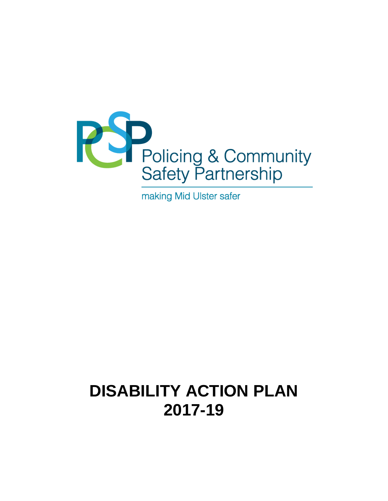

making Mid Ulster safer

# **DISABILITY ACTION PLAN 2017-19**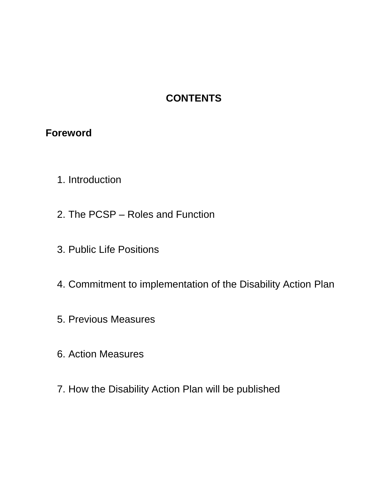# **CONTENTS**

## **Foreword**

- 1. Introduction
- 2. The PCSP Roles and Function
- 3. Public Life Positions
- 4. Commitment to implementation of the Disability Action Plan
- 5. Previous Measures
- 6. Action Measures
- 7. How the Disability Action Plan will be published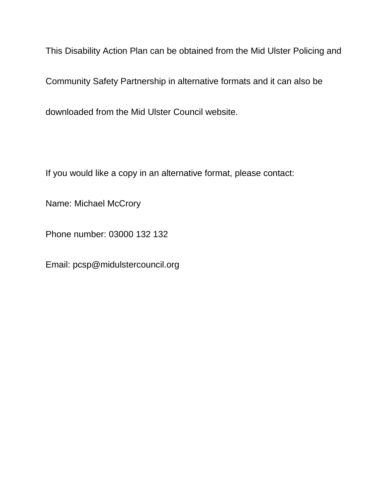This Disability Action Plan can be obtained from the Mid Ulster Policing and

Community Safety Partnership in alternative formats and it can also be

downloaded from the Mid Ulster Council website.

If you would like a copy in an alternative format, please contact:

Name: Michael McCrory

Phone number: 03000 132 132

Email: pcsp@midulstercouncil.org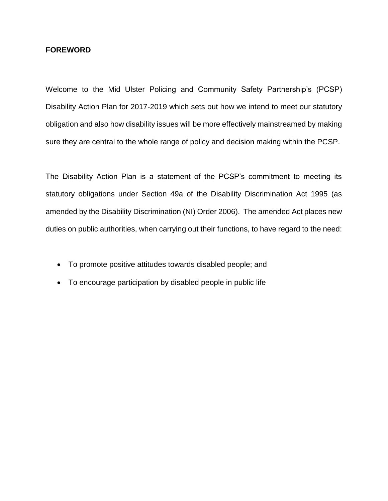#### **FOREWORD**

Welcome to the Mid Ulster Policing and Community Safety Partnership's (PCSP) Disability Action Plan for 2017-2019 which sets out how we intend to meet our statutory obligation and also how disability issues will be more effectively mainstreamed by making sure they are central to the whole range of policy and decision making within the PCSP.

The Disability Action Plan is a statement of the PCSP's commitment to meeting its statutory obligations under Section 49a of the Disability Discrimination Act 1995 (as amended by the Disability Discrimination (NI) Order 2006). The amended Act places new duties on public authorities, when carrying out their functions, to have regard to the need:

- To promote positive attitudes towards disabled people; and
- To encourage participation by disabled people in public life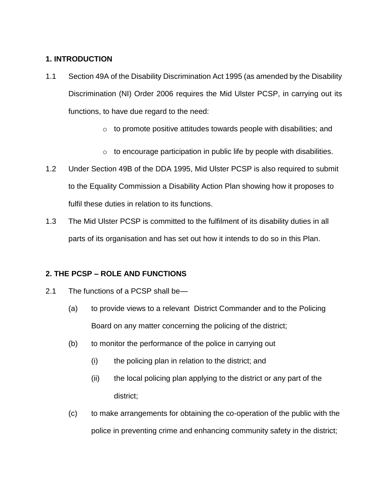#### **1. INTRODUCTION**

- 1.1 Section 49A of the Disability Discrimination Act 1995 (as amended by the Disability Discrimination (NI) Order 2006 requires the Mid Ulster PCSP, in carrying out its functions, to have due regard to the need:
	- $\circ$  to promote positive attitudes towards people with disabilities; and
	- o to encourage participation in public life by people with disabilities.
- 1.2 Under Section 49B of the DDA 1995, Mid Ulster PCSP is also required to submit to the Equality Commission a Disability Action Plan showing how it proposes to fulfil these duties in relation to its functions.
- 1.3 The Mid Ulster PCSP is committed to the fulfilment of its disability duties in all parts of its organisation and has set out how it intends to do so in this Plan.

### **2. THE PCSP – ROLE AND FUNCTIONS**

- 2.1 The functions of a PCSP shall be—
	- (a) to provide views to a relevant District Commander and to the Policing Board on any matter concerning the policing of the district;
	- (b) to monitor the performance of the police in carrying out
		- (i) the policing plan in relation to the district; and
		- (ii) the local policing plan applying to the district or any part of the district;
	- (c) to make arrangements for obtaining the co-operation of the public with the police in preventing crime and enhancing community safety in the district;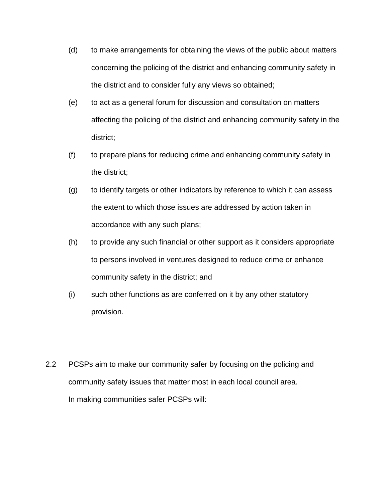- (d) to make arrangements for obtaining the views of the public about matters concerning the policing of the district and enhancing community safety in the district and to consider fully any views so obtained;
- (e) to act as a general forum for discussion and consultation on matters affecting the policing of the district and enhancing community safety in the district;
- (f) to prepare plans for reducing crime and enhancing community safety in the district;
- (g) to identify targets or other indicators by reference to which it can assess the extent to which those issues are addressed by action taken in accordance with any such plans;
- (h) to provide any such financial or other support as it considers appropriate to persons involved in ventures designed to reduce crime or enhance community safety in the district; and
- (i) such other functions as are conferred on it by any other statutory provision.
- 2.2 PCSPs aim to make our community safer by focusing on the policing and community safety issues that matter most in each local council area. In making communities safer PCSPs will: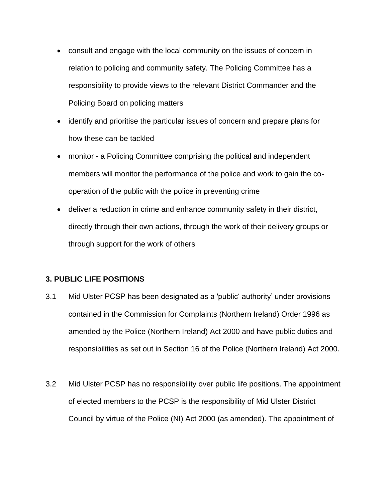- consult and engage with the local community on the issues of concern in relation to policing and community safety. The Policing Committee has a responsibility to provide views to the relevant District Commander and the Policing Board on policing matters
- identify and prioritise the particular issues of concern and prepare plans for how these can be tackled
- monitor a Policing Committee comprising the political and independent members will monitor the performance of the police and work to gain the cooperation of the public with the police in preventing crime
- deliver a reduction in crime and enhance community safety in their district, directly through their own actions, through the work of their delivery groups or through support for the work of others

#### **3. PUBLIC LIFE POSITIONS**

- 3.1 Mid Ulster PCSP has been designated as a 'public' authority' under provisions contained in the Commission for Complaints (Northern Ireland) Order 1996 as amended by the Police (Northern Ireland) Act 2000 and have public duties and responsibilities as set out in Section 16 of the Police (Northern Ireland) Act 2000.
- 3.2 Mid Ulster PCSP has no responsibility over public life positions. The appointment of elected members to the PCSP is the responsibility of Mid Ulster District Council by virtue of the Police (NI) Act 2000 (as amended). The appointment of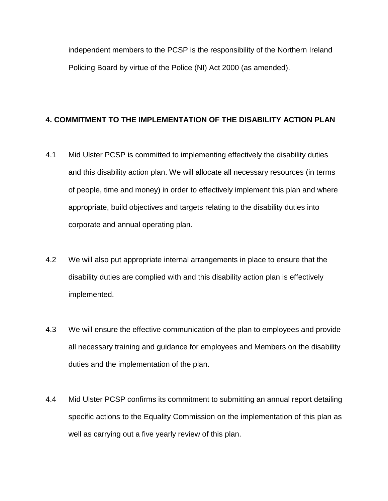independent members to the PCSP is the responsibility of the Northern Ireland Policing Board by virtue of the Police (NI) Act 2000 (as amended).

#### **4. COMMITMENT TO THE IMPLEMENTATION OF THE DISABILITY ACTION PLAN**

- 4.1 Mid Ulster PCSP is committed to implementing effectively the disability duties and this disability action plan. We will allocate all necessary resources (in terms of people, time and money) in order to effectively implement this plan and where appropriate, build objectives and targets relating to the disability duties into corporate and annual operating plan.
- 4.2 We will also put appropriate internal arrangements in place to ensure that the disability duties are complied with and this disability action plan is effectively implemented.
- 4.3 We will ensure the effective communication of the plan to employees and provide all necessary training and guidance for employees and Members on the disability duties and the implementation of the plan.
- 4.4 Mid Ulster PCSP confirms its commitment to submitting an annual report detailing specific actions to the Equality Commission on the implementation of this plan as well as carrying out a five yearly review of this plan.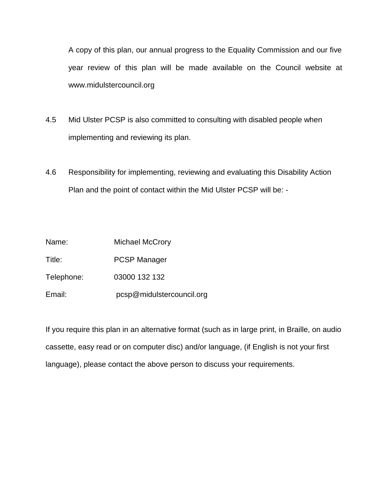A copy of this plan, our annual progress to the Equality Commission and our five year review of this plan will be made available on the Council website at www.midulstercouncil.org

- 4.5 Mid Ulster PCSP is also committed to consulting with disabled people when implementing and reviewing its plan.
- 4.6 Responsibility for implementing, reviewing and evaluating this Disability Action Plan and the point of contact within the Mid Ulster PCSP will be: -

Name: Michael McCrory Title: PCSP Manager Telephone: 03000 132 132 Email: pcsp@midulstercouncil.org

If you require this plan in an alternative format (such as in large print, in Braille, on audio cassette, easy read or on computer disc) and/or language, (if English is not your first language), please contact the above person to discuss your requirements.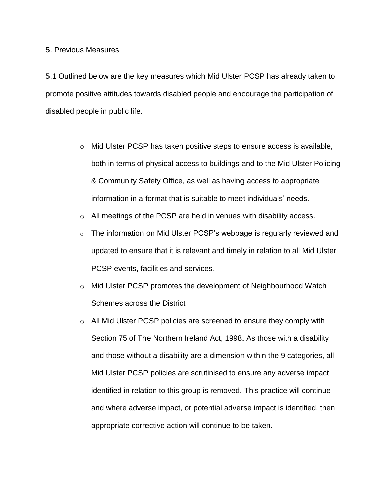#### 5. Previous Measures

5.1 Outlined below are the key measures which Mid Ulster PCSP has already taken to promote positive attitudes towards disabled people and encourage the participation of disabled people in public life.

- o Mid Ulster PCSP has taken positive steps to ensure access is available, both in terms of physical access to buildings and to the Mid Ulster Policing & Community Safety Office, as well as having access to appropriate information in a format that is suitable to meet individuals' needs.
- o All meetings of the PCSP are held in venues with disability access.
- o The information on Mid Ulster PCSP's webpage is regularly reviewed and updated to ensure that it is relevant and timely in relation to all Mid Ulster PCSP events, facilities and services.
- o Mid Ulster PCSP promotes the development of Neighbourhood Watch Schemes across the District
- o All Mid Ulster PCSP policies are screened to ensure they comply with Section 75 of The Northern Ireland Act, 1998. As those with a disability and those without a disability are a dimension within the 9 categories, all Mid Ulster PCSP policies are scrutinised to ensure any adverse impact identified in relation to this group is removed. This practice will continue and where adverse impact, or potential adverse impact is identified, then appropriate corrective action will continue to be taken.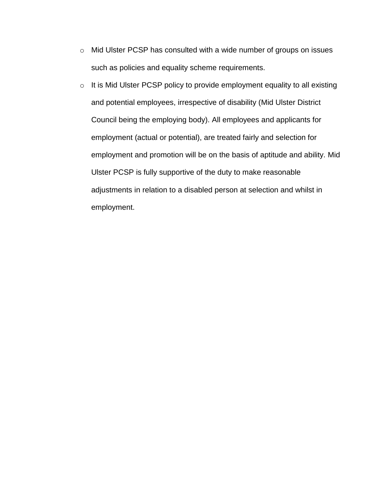- o Mid Ulster PCSP has consulted with a wide number of groups on issues such as policies and equality scheme requirements.
- o It is Mid Ulster PCSP policy to provide employment equality to all existing and potential employees, irrespective of disability (Mid Ulster District Council being the employing body). All employees and applicants for employment (actual or potential), are treated fairly and selection for employment and promotion will be on the basis of aptitude and ability. Mid Ulster PCSP is fully supportive of the duty to make reasonable adjustments in relation to a disabled person at selection and whilst in employment.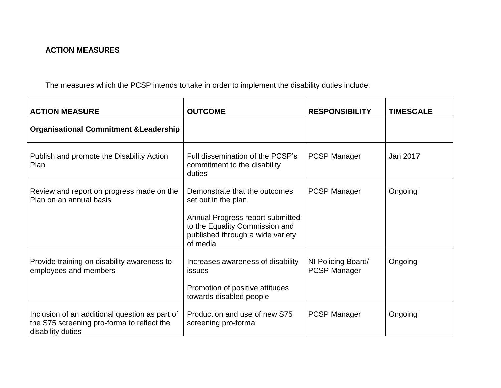## **ACTION MEASURES**

The measures which the PCSP intends to take in order to implement the disability duties include:

| <b>ACTION MEASURE</b>                                                                                             | <b>OUTCOME</b>                                                                                                                                                             | <b>RESPONSIBILITY</b>                     | <b>TIMESCALE</b> |
|-------------------------------------------------------------------------------------------------------------------|----------------------------------------------------------------------------------------------------------------------------------------------------------------------------|-------------------------------------------|------------------|
| <b>Organisational Commitment &amp; Leadership</b>                                                                 |                                                                                                                                                                            |                                           |                  |
| Publish and promote the Disability Action<br>Plan                                                                 | Full dissemination of the PCSP's<br>commitment to the disability<br>duties                                                                                                 | <b>PCSP Manager</b>                       | Jan 2017         |
| Review and report on progress made on the<br>Plan on an annual basis                                              | Demonstrate that the outcomes<br>set out in the plan<br>Annual Progress report submitted<br>to the Equality Commission and<br>published through a wide variety<br>of media | <b>PCSP Manager</b>                       | Ongoing          |
| Provide training on disability awareness to<br>employees and members                                              | Increases awareness of disability<br><b>issues</b><br>Promotion of positive attitudes<br>towards disabled people                                                           | NI Policing Board/<br><b>PCSP Manager</b> | Ongoing          |
| Inclusion of an additional question as part of<br>the S75 screening pro-forma to reflect the<br>disability duties | Production and use of new S75<br>screening pro-forma                                                                                                                       | <b>PCSP Manager</b>                       | Ongoing          |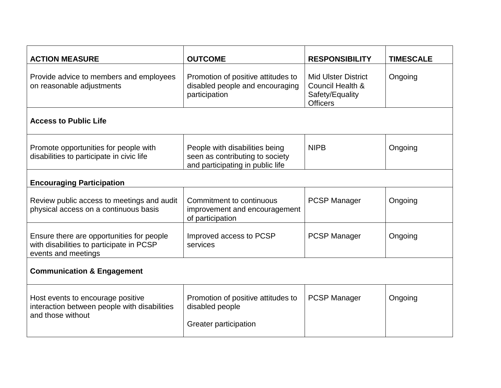| <b>ACTION MEASURE</b>                                                                                        | <b>OUTCOME</b>                                                                                        | <b>RESPONSIBILITY</b>                                                                | <b>TIMESCALE</b> |  |  |  |
|--------------------------------------------------------------------------------------------------------------|-------------------------------------------------------------------------------------------------------|--------------------------------------------------------------------------------------|------------------|--|--|--|
| Provide advice to members and employees<br>on reasonable adjustments                                         | Promotion of positive attitudes to<br>disabled people and encouraging<br>participation                | <b>Mid Ulster District</b><br>Council Health &<br>Safety/Equality<br><b>Officers</b> | Ongoing          |  |  |  |
| <b>Access to Public Life</b>                                                                                 |                                                                                                       |                                                                                      |                  |  |  |  |
| Promote opportunities for people with<br>disabilities to participate in civic life                           | People with disabilities being<br>seen as contributing to society<br>and participating in public life | <b>NIPB</b>                                                                          | Ongoing          |  |  |  |
| <b>Encouraging Participation</b>                                                                             |                                                                                                       |                                                                                      |                  |  |  |  |
| Review public access to meetings and audit<br>physical access on a continuous basis                          | Commitment to continuous<br>improvement and encouragement<br>of participation                         | <b>PCSP Manager</b>                                                                  | Ongoing          |  |  |  |
| Ensure there are opportunities for people<br>with disabilities to participate in PCSP<br>events and meetings | Improved access to PCSP<br>services                                                                   | <b>PCSP Manager</b>                                                                  | Ongoing          |  |  |  |
| <b>Communication &amp; Engagement</b>                                                                        |                                                                                                       |                                                                                      |                  |  |  |  |
| Host events to encourage positive<br>interaction between people with disabilities<br>and those without       | Promotion of positive attitudes to<br>disabled people<br>Greater participation                        | <b>PCSP Manager</b>                                                                  | Ongoing          |  |  |  |
|                                                                                                              |                                                                                                       |                                                                                      |                  |  |  |  |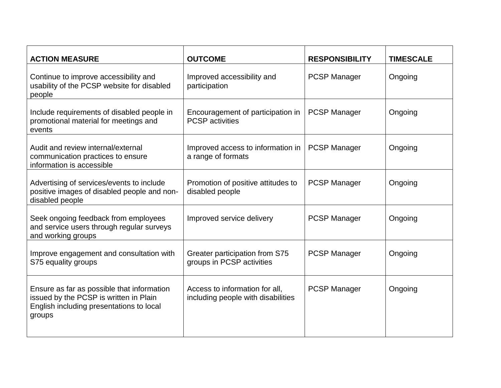| <b>ACTION MEASURE</b>                                                                                                                      | <b>OUTCOME</b>                                                       | <b>RESPONSIBILITY</b> | <b>TIMESCALE</b> |
|--------------------------------------------------------------------------------------------------------------------------------------------|----------------------------------------------------------------------|-----------------------|------------------|
| Continue to improve accessibility and<br>usability of the PCSP website for disabled<br>people                                              | Improved accessibility and<br>participation                          | <b>PCSP Manager</b>   | Ongoing          |
| Include requirements of disabled people in<br>promotional material for meetings and<br>events                                              | Encouragement of participation in<br><b>PCSP</b> activities          | <b>PCSP Manager</b>   | Ongoing          |
| Audit and review internal/external<br>communication practices to ensure<br>information is accessible                                       | Improved access to information in<br>a range of formats              | <b>PCSP Manager</b>   | Ongoing          |
| Advertising of services/events to include<br>positive images of disabled people and non-<br>disabled people                                | Promotion of positive attitudes to<br>disabled people                | <b>PCSP Manager</b>   | Ongoing          |
| Seek ongoing feedback from employees<br>and service users through regular surveys<br>and working groups                                    | Improved service delivery                                            | <b>PCSP Manager</b>   | Ongoing          |
| Improve engagement and consultation with<br>S75 equality groups                                                                            | Greater participation from S75<br>groups in PCSP activities          | <b>PCSP Manager</b>   | Ongoing          |
| Ensure as far as possible that information<br>issued by the PCSP is written in Plain<br>English including presentations to local<br>groups | Access to information for all,<br>including people with disabilities | <b>PCSP Manager</b>   | Ongoing          |